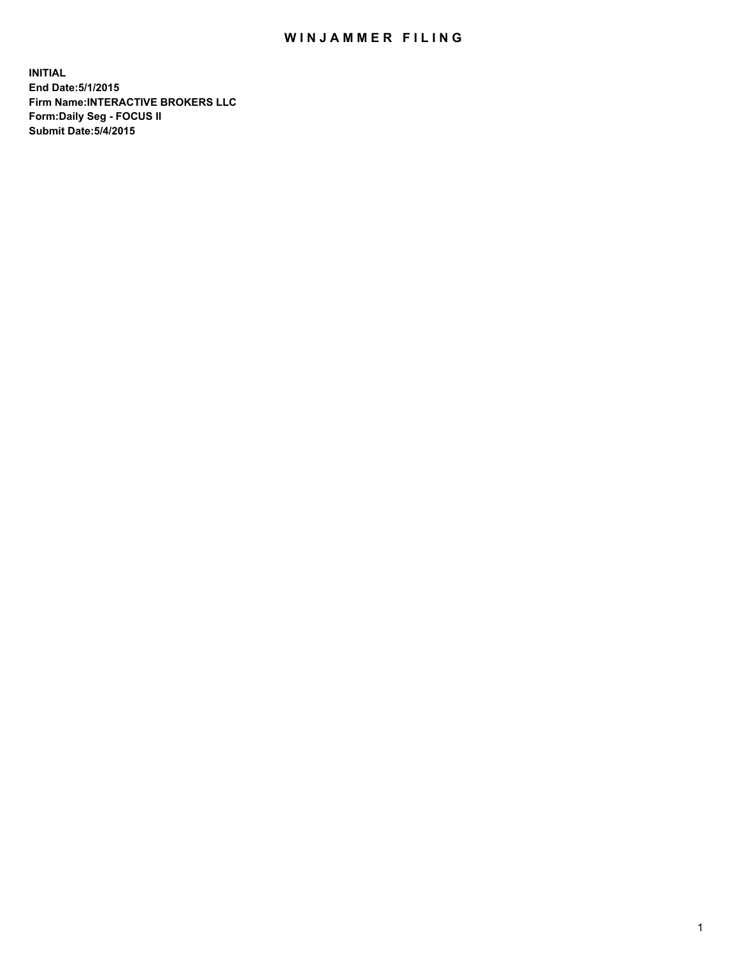## WIN JAMMER FILING

**INITIAL End Date:5/1/2015 Firm Name:INTERACTIVE BROKERS LLC Form:Daily Seg - FOCUS II Submit Date:5/4/2015**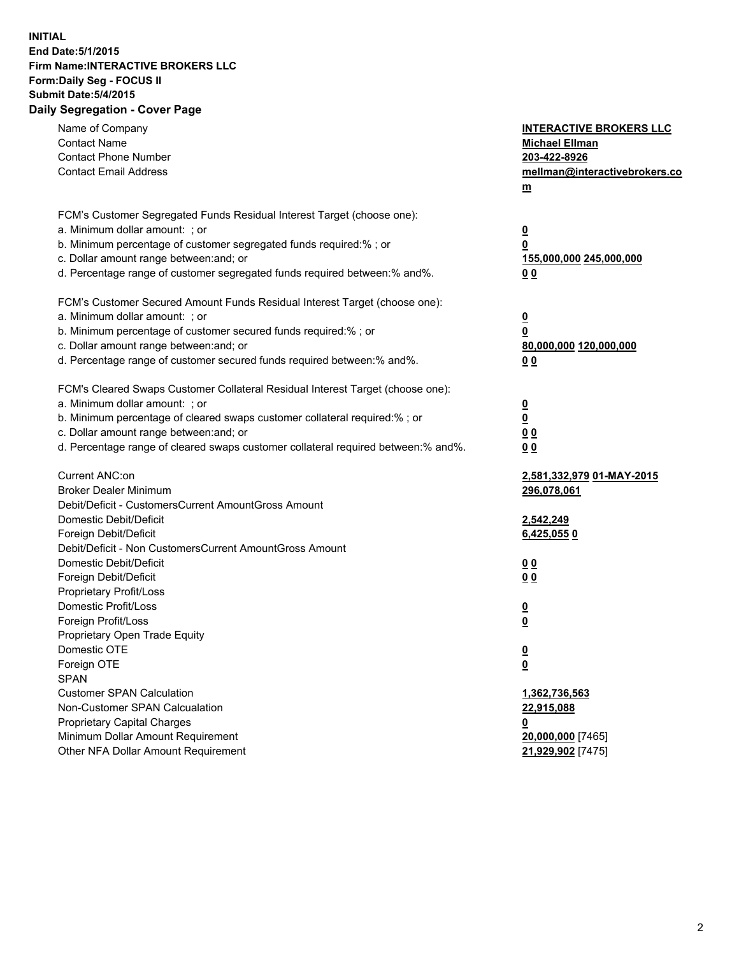## **INITIAL End Date:5/1/2015 Firm Name:INTERACTIVE BROKERS LLC Form:Daily Seg - FOCUS II Submit Date:5/4/2015 Daily Segregation - Cover Page**

| <b>Contact Phone Number</b><br>203-422-8926<br><b>Contact Email Address</b><br>mellman@interactivebrokers.co<br>$\underline{\mathbf{m}}$<br>FCM's Customer Segregated Funds Residual Interest Target (choose one):<br>a. Minimum dollar amount: ; or<br>$\overline{\mathbf{0}}$<br>b. Minimum percentage of customer segregated funds required:% ; or<br>0<br>c. Dollar amount range between: and; or<br>155,000,000 245,000,000<br>d. Percentage range of customer segregated funds required between:% and%.<br>00<br>FCM's Customer Secured Amount Funds Residual Interest Target (choose one):<br>a. Minimum dollar amount: ; or<br>$\overline{\mathbf{0}}$<br>b. Minimum percentage of customer secured funds required:% ; or<br>0<br>c. Dollar amount range between: and; or<br>80,000,000 120,000,000<br>d. Percentage range of customer secured funds required between:% and%.<br>00<br>FCM's Cleared Swaps Customer Collateral Residual Interest Target (choose one):<br>a. Minimum dollar amount: ; or<br>$\overline{\mathbf{0}}$<br>$\overline{\mathbf{0}}$<br>b. Minimum percentage of cleared swaps customer collateral required:% ; or<br>c. Dollar amount range between: and; or<br>0 <sub>0</sub><br>d. Percentage range of cleared swaps customer collateral required between:% and%.<br>0 <sub>0</sub><br>Current ANC:on<br>2,581,332,979 01-MAY-2015<br><b>Broker Dealer Minimum</b><br>296,078,061<br>Debit/Deficit - CustomersCurrent AmountGross Amount<br>Domestic Debit/Deficit<br>2,542,249<br>Foreign Debit/Deficit<br>6,425,0550<br>Debit/Deficit - Non CustomersCurrent AmountGross Amount<br>Domestic Debit/Deficit<br>0 <sub>0</sub><br>Foreign Debit/Deficit<br>0 <sub>0</sub><br>Proprietary Profit/Loss<br>Domestic Profit/Loss<br>$\overline{\mathbf{0}}$<br>Foreign Profit/Loss<br>$\underline{\mathbf{0}}$<br>Proprietary Open Trade Equity<br>Domestic OTE<br><u>0</u><br>Foreign OTE<br><u>0</u><br><b>SPAN</b><br><b>Customer SPAN Calculation</b><br>1,362,736,563<br>Non-Customer SPAN Calcualation<br>22,915,088<br>Proprietary Capital Charges<br><u>0</u><br>Minimum Dollar Amount Requirement<br>20,000,000 [7465]<br>Other NFA Dollar Amount Requirement<br>21,929,902 [7475] | Name of Company<br><b>Contact Name</b> | <b>INTERACTIVE BROKERS LLC</b><br><b>Michael Ellman</b> |
|----------------------------------------------------------------------------------------------------------------------------------------------------------------------------------------------------------------------------------------------------------------------------------------------------------------------------------------------------------------------------------------------------------------------------------------------------------------------------------------------------------------------------------------------------------------------------------------------------------------------------------------------------------------------------------------------------------------------------------------------------------------------------------------------------------------------------------------------------------------------------------------------------------------------------------------------------------------------------------------------------------------------------------------------------------------------------------------------------------------------------------------------------------------------------------------------------------------------------------------------------------------------------------------------------------------------------------------------------------------------------------------------------------------------------------------------------------------------------------------------------------------------------------------------------------------------------------------------------------------------------------------------------------------------------------------------------------------------------------------------------------------------------------------------------------------------------------------------------------------------------------------------------------------------------------------------------------------------------------------------------------------------------------------------------------------------------------------------------------------------------------------------------------------------------------------------------------------------------|----------------------------------------|---------------------------------------------------------|
|                                                                                                                                                                                                                                                                                                                                                                                                                                                                                                                                                                                                                                                                                                                                                                                                                                                                                                                                                                                                                                                                                                                                                                                                                                                                                                                                                                                                                                                                                                                                                                                                                                                                                                                                                                                                                                                                                                                                                                                                                                                                                                                                                                                                                            |                                        |                                                         |
|                                                                                                                                                                                                                                                                                                                                                                                                                                                                                                                                                                                                                                                                                                                                                                                                                                                                                                                                                                                                                                                                                                                                                                                                                                                                                                                                                                                                                                                                                                                                                                                                                                                                                                                                                                                                                                                                                                                                                                                                                                                                                                                                                                                                                            |                                        |                                                         |
|                                                                                                                                                                                                                                                                                                                                                                                                                                                                                                                                                                                                                                                                                                                                                                                                                                                                                                                                                                                                                                                                                                                                                                                                                                                                                                                                                                                                                                                                                                                                                                                                                                                                                                                                                                                                                                                                                                                                                                                                                                                                                                                                                                                                                            |                                        |                                                         |
|                                                                                                                                                                                                                                                                                                                                                                                                                                                                                                                                                                                                                                                                                                                                                                                                                                                                                                                                                                                                                                                                                                                                                                                                                                                                                                                                                                                                                                                                                                                                                                                                                                                                                                                                                                                                                                                                                                                                                                                                                                                                                                                                                                                                                            |                                        |                                                         |
|                                                                                                                                                                                                                                                                                                                                                                                                                                                                                                                                                                                                                                                                                                                                                                                                                                                                                                                                                                                                                                                                                                                                                                                                                                                                                                                                                                                                                                                                                                                                                                                                                                                                                                                                                                                                                                                                                                                                                                                                                                                                                                                                                                                                                            |                                        |                                                         |
|                                                                                                                                                                                                                                                                                                                                                                                                                                                                                                                                                                                                                                                                                                                                                                                                                                                                                                                                                                                                                                                                                                                                                                                                                                                                                                                                                                                                                                                                                                                                                                                                                                                                                                                                                                                                                                                                                                                                                                                                                                                                                                                                                                                                                            |                                        |                                                         |
|                                                                                                                                                                                                                                                                                                                                                                                                                                                                                                                                                                                                                                                                                                                                                                                                                                                                                                                                                                                                                                                                                                                                                                                                                                                                                                                                                                                                                                                                                                                                                                                                                                                                                                                                                                                                                                                                                                                                                                                                                                                                                                                                                                                                                            |                                        |                                                         |
|                                                                                                                                                                                                                                                                                                                                                                                                                                                                                                                                                                                                                                                                                                                                                                                                                                                                                                                                                                                                                                                                                                                                                                                                                                                                                                                                                                                                                                                                                                                                                                                                                                                                                                                                                                                                                                                                                                                                                                                                                                                                                                                                                                                                                            |                                        |                                                         |
|                                                                                                                                                                                                                                                                                                                                                                                                                                                                                                                                                                                                                                                                                                                                                                                                                                                                                                                                                                                                                                                                                                                                                                                                                                                                                                                                                                                                                                                                                                                                                                                                                                                                                                                                                                                                                                                                                                                                                                                                                                                                                                                                                                                                                            |                                        |                                                         |
|                                                                                                                                                                                                                                                                                                                                                                                                                                                                                                                                                                                                                                                                                                                                                                                                                                                                                                                                                                                                                                                                                                                                                                                                                                                                                                                                                                                                                                                                                                                                                                                                                                                                                                                                                                                                                                                                                                                                                                                                                                                                                                                                                                                                                            |                                        |                                                         |
|                                                                                                                                                                                                                                                                                                                                                                                                                                                                                                                                                                                                                                                                                                                                                                                                                                                                                                                                                                                                                                                                                                                                                                                                                                                                                                                                                                                                                                                                                                                                                                                                                                                                                                                                                                                                                                                                                                                                                                                                                                                                                                                                                                                                                            |                                        |                                                         |
|                                                                                                                                                                                                                                                                                                                                                                                                                                                                                                                                                                                                                                                                                                                                                                                                                                                                                                                                                                                                                                                                                                                                                                                                                                                                                                                                                                                                                                                                                                                                                                                                                                                                                                                                                                                                                                                                                                                                                                                                                                                                                                                                                                                                                            |                                        |                                                         |
|                                                                                                                                                                                                                                                                                                                                                                                                                                                                                                                                                                                                                                                                                                                                                                                                                                                                                                                                                                                                                                                                                                                                                                                                                                                                                                                                                                                                                                                                                                                                                                                                                                                                                                                                                                                                                                                                                                                                                                                                                                                                                                                                                                                                                            |                                        |                                                         |
|                                                                                                                                                                                                                                                                                                                                                                                                                                                                                                                                                                                                                                                                                                                                                                                                                                                                                                                                                                                                                                                                                                                                                                                                                                                                                                                                                                                                                                                                                                                                                                                                                                                                                                                                                                                                                                                                                                                                                                                                                                                                                                                                                                                                                            |                                        |                                                         |
|                                                                                                                                                                                                                                                                                                                                                                                                                                                                                                                                                                                                                                                                                                                                                                                                                                                                                                                                                                                                                                                                                                                                                                                                                                                                                                                                                                                                                                                                                                                                                                                                                                                                                                                                                                                                                                                                                                                                                                                                                                                                                                                                                                                                                            |                                        |                                                         |
|                                                                                                                                                                                                                                                                                                                                                                                                                                                                                                                                                                                                                                                                                                                                                                                                                                                                                                                                                                                                                                                                                                                                                                                                                                                                                                                                                                                                                                                                                                                                                                                                                                                                                                                                                                                                                                                                                                                                                                                                                                                                                                                                                                                                                            |                                        |                                                         |
|                                                                                                                                                                                                                                                                                                                                                                                                                                                                                                                                                                                                                                                                                                                                                                                                                                                                                                                                                                                                                                                                                                                                                                                                                                                                                                                                                                                                                                                                                                                                                                                                                                                                                                                                                                                                                                                                                                                                                                                                                                                                                                                                                                                                                            |                                        |                                                         |
|                                                                                                                                                                                                                                                                                                                                                                                                                                                                                                                                                                                                                                                                                                                                                                                                                                                                                                                                                                                                                                                                                                                                                                                                                                                                                                                                                                                                                                                                                                                                                                                                                                                                                                                                                                                                                                                                                                                                                                                                                                                                                                                                                                                                                            |                                        |                                                         |
|                                                                                                                                                                                                                                                                                                                                                                                                                                                                                                                                                                                                                                                                                                                                                                                                                                                                                                                                                                                                                                                                                                                                                                                                                                                                                                                                                                                                                                                                                                                                                                                                                                                                                                                                                                                                                                                                                                                                                                                                                                                                                                                                                                                                                            |                                        |                                                         |
|                                                                                                                                                                                                                                                                                                                                                                                                                                                                                                                                                                                                                                                                                                                                                                                                                                                                                                                                                                                                                                                                                                                                                                                                                                                                                                                                                                                                                                                                                                                                                                                                                                                                                                                                                                                                                                                                                                                                                                                                                                                                                                                                                                                                                            |                                        |                                                         |
|                                                                                                                                                                                                                                                                                                                                                                                                                                                                                                                                                                                                                                                                                                                                                                                                                                                                                                                                                                                                                                                                                                                                                                                                                                                                                                                                                                                                                                                                                                                                                                                                                                                                                                                                                                                                                                                                                                                                                                                                                                                                                                                                                                                                                            |                                        |                                                         |
|                                                                                                                                                                                                                                                                                                                                                                                                                                                                                                                                                                                                                                                                                                                                                                                                                                                                                                                                                                                                                                                                                                                                                                                                                                                                                                                                                                                                                                                                                                                                                                                                                                                                                                                                                                                                                                                                                                                                                                                                                                                                                                                                                                                                                            |                                        |                                                         |
|                                                                                                                                                                                                                                                                                                                                                                                                                                                                                                                                                                                                                                                                                                                                                                                                                                                                                                                                                                                                                                                                                                                                                                                                                                                                                                                                                                                                                                                                                                                                                                                                                                                                                                                                                                                                                                                                                                                                                                                                                                                                                                                                                                                                                            |                                        |                                                         |
|                                                                                                                                                                                                                                                                                                                                                                                                                                                                                                                                                                                                                                                                                                                                                                                                                                                                                                                                                                                                                                                                                                                                                                                                                                                                                                                                                                                                                                                                                                                                                                                                                                                                                                                                                                                                                                                                                                                                                                                                                                                                                                                                                                                                                            |                                        |                                                         |
|                                                                                                                                                                                                                                                                                                                                                                                                                                                                                                                                                                                                                                                                                                                                                                                                                                                                                                                                                                                                                                                                                                                                                                                                                                                                                                                                                                                                                                                                                                                                                                                                                                                                                                                                                                                                                                                                                                                                                                                                                                                                                                                                                                                                                            |                                        |                                                         |
|                                                                                                                                                                                                                                                                                                                                                                                                                                                                                                                                                                                                                                                                                                                                                                                                                                                                                                                                                                                                                                                                                                                                                                                                                                                                                                                                                                                                                                                                                                                                                                                                                                                                                                                                                                                                                                                                                                                                                                                                                                                                                                                                                                                                                            |                                        |                                                         |
|                                                                                                                                                                                                                                                                                                                                                                                                                                                                                                                                                                                                                                                                                                                                                                                                                                                                                                                                                                                                                                                                                                                                                                                                                                                                                                                                                                                                                                                                                                                                                                                                                                                                                                                                                                                                                                                                                                                                                                                                                                                                                                                                                                                                                            |                                        |                                                         |
|                                                                                                                                                                                                                                                                                                                                                                                                                                                                                                                                                                                                                                                                                                                                                                                                                                                                                                                                                                                                                                                                                                                                                                                                                                                                                                                                                                                                                                                                                                                                                                                                                                                                                                                                                                                                                                                                                                                                                                                                                                                                                                                                                                                                                            |                                        |                                                         |
|                                                                                                                                                                                                                                                                                                                                                                                                                                                                                                                                                                                                                                                                                                                                                                                                                                                                                                                                                                                                                                                                                                                                                                                                                                                                                                                                                                                                                                                                                                                                                                                                                                                                                                                                                                                                                                                                                                                                                                                                                                                                                                                                                                                                                            |                                        |                                                         |
|                                                                                                                                                                                                                                                                                                                                                                                                                                                                                                                                                                                                                                                                                                                                                                                                                                                                                                                                                                                                                                                                                                                                                                                                                                                                                                                                                                                                                                                                                                                                                                                                                                                                                                                                                                                                                                                                                                                                                                                                                                                                                                                                                                                                                            |                                        |                                                         |
|                                                                                                                                                                                                                                                                                                                                                                                                                                                                                                                                                                                                                                                                                                                                                                                                                                                                                                                                                                                                                                                                                                                                                                                                                                                                                                                                                                                                                                                                                                                                                                                                                                                                                                                                                                                                                                                                                                                                                                                                                                                                                                                                                                                                                            |                                        |                                                         |
|                                                                                                                                                                                                                                                                                                                                                                                                                                                                                                                                                                                                                                                                                                                                                                                                                                                                                                                                                                                                                                                                                                                                                                                                                                                                                                                                                                                                                                                                                                                                                                                                                                                                                                                                                                                                                                                                                                                                                                                                                                                                                                                                                                                                                            |                                        |                                                         |
|                                                                                                                                                                                                                                                                                                                                                                                                                                                                                                                                                                                                                                                                                                                                                                                                                                                                                                                                                                                                                                                                                                                                                                                                                                                                                                                                                                                                                                                                                                                                                                                                                                                                                                                                                                                                                                                                                                                                                                                                                                                                                                                                                                                                                            |                                        |                                                         |
|                                                                                                                                                                                                                                                                                                                                                                                                                                                                                                                                                                                                                                                                                                                                                                                                                                                                                                                                                                                                                                                                                                                                                                                                                                                                                                                                                                                                                                                                                                                                                                                                                                                                                                                                                                                                                                                                                                                                                                                                                                                                                                                                                                                                                            |                                        |                                                         |
|                                                                                                                                                                                                                                                                                                                                                                                                                                                                                                                                                                                                                                                                                                                                                                                                                                                                                                                                                                                                                                                                                                                                                                                                                                                                                                                                                                                                                                                                                                                                                                                                                                                                                                                                                                                                                                                                                                                                                                                                                                                                                                                                                                                                                            |                                        |                                                         |
|                                                                                                                                                                                                                                                                                                                                                                                                                                                                                                                                                                                                                                                                                                                                                                                                                                                                                                                                                                                                                                                                                                                                                                                                                                                                                                                                                                                                                                                                                                                                                                                                                                                                                                                                                                                                                                                                                                                                                                                                                                                                                                                                                                                                                            |                                        |                                                         |
|                                                                                                                                                                                                                                                                                                                                                                                                                                                                                                                                                                                                                                                                                                                                                                                                                                                                                                                                                                                                                                                                                                                                                                                                                                                                                                                                                                                                                                                                                                                                                                                                                                                                                                                                                                                                                                                                                                                                                                                                                                                                                                                                                                                                                            |                                        |                                                         |
|                                                                                                                                                                                                                                                                                                                                                                                                                                                                                                                                                                                                                                                                                                                                                                                                                                                                                                                                                                                                                                                                                                                                                                                                                                                                                                                                                                                                                                                                                                                                                                                                                                                                                                                                                                                                                                                                                                                                                                                                                                                                                                                                                                                                                            |                                        |                                                         |
|                                                                                                                                                                                                                                                                                                                                                                                                                                                                                                                                                                                                                                                                                                                                                                                                                                                                                                                                                                                                                                                                                                                                                                                                                                                                                                                                                                                                                                                                                                                                                                                                                                                                                                                                                                                                                                                                                                                                                                                                                                                                                                                                                                                                                            |                                        |                                                         |
|                                                                                                                                                                                                                                                                                                                                                                                                                                                                                                                                                                                                                                                                                                                                                                                                                                                                                                                                                                                                                                                                                                                                                                                                                                                                                                                                                                                                                                                                                                                                                                                                                                                                                                                                                                                                                                                                                                                                                                                                                                                                                                                                                                                                                            |                                        |                                                         |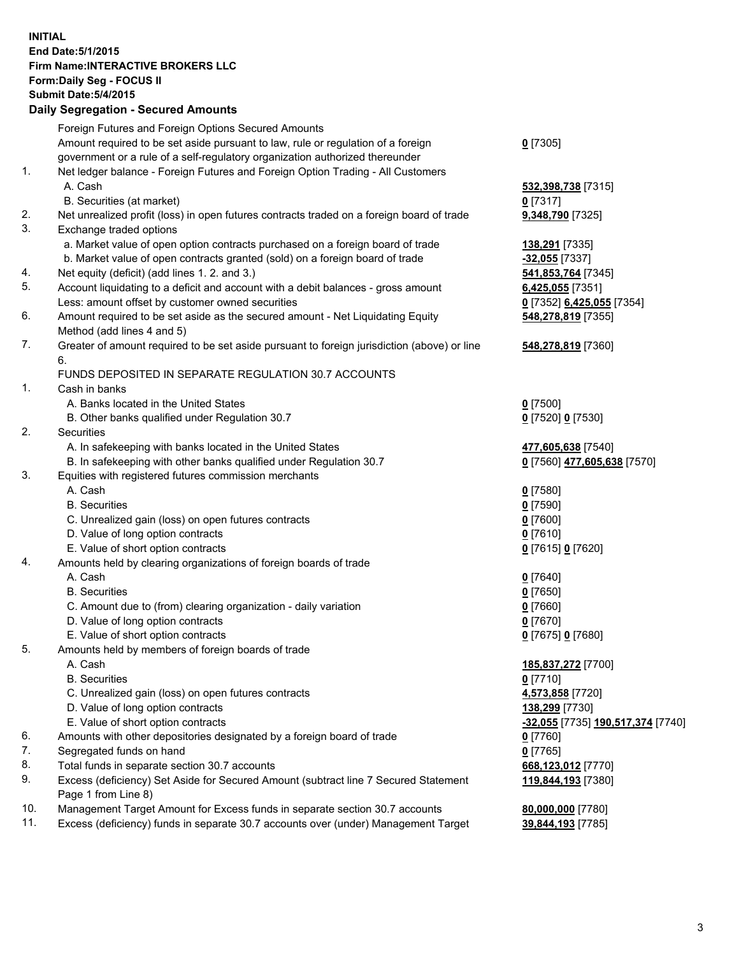## **INITIAL End Date:5/1/2015 Firm Name:INTERACTIVE BROKERS LLC Form:Daily Seg - FOCUS II Submit Date:5/4/2015 Daily Segregation - Secured Amounts**

|     | Foreign Futures and Foreign Options Secured Amounts                                         |                                                |
|-----|---------------------------------------------------------------------------------------------|------------------------------------------------|
|     | Amount required to be set aside pursuant to law, rule or regulation of a foreign            | $0$ [7305]                                     |
|     | government or a rule of a self-regulatory organization authorized thereunder                |                                                |
| 1.  | Net ledger balance - Foreign Futures and Foreign Option Trading - All Customers             |                                                |
|     | A. Cash                                                                                     | 532,398,738 [7315]                             |
|     | B. Securities (at market)                                                                   | $0$ [7317]                                     |
| 2.  | Net unrealized profit (loss) in open futures contracts traded on a foreign board of trade   | 9,348,790 [7325]                               |
| 3.  | Exchange traded options                                                                     |                                                |
|     | a. Market value of open option contracts purchased on a foreign board of trade              | 138,291 [7335]                                 |
|     | b. Market value of open contracts granted (sold) on a foreign board of trade                | -32,055 [7337]                                 |
| 4.  | Net equity (deficit) (add lines 1. 2. and 3.)                                               | 541,853,764 [7345]                             |
| 5.  | Account liquidating to a deficit and account with a debit balances - gross amount           | 6,425,055 [7351]                               |
|     | Less: amount offset by customer owned securities                                            | 0 [7352] 6,425,055 [7354]                      |
| 6.  | Amount required to be set aside as the secured amount - Net Liquidating Equity              | 548,278,819 [7355]                             |
|     | Method (add lines 4 and 5)                                                                  |                                                |
| 7.  | Greater of amount required to be set aside pursuant to foreign jurisdiction (above) or line | 548,278,819 [7360]                             |
|     | 6.                                                                                          |                                                |
|     | FUNDS DEPOSITED IN SEPARATE REGULATION 30.7 ACCOUNTS                                        |                                                |
| 1.  | Cash in banks                                                                               |                                                |
|     | A. Banks located in the United States                                                       | $0$ [7500]                                     |
|     |                                                                                             |                                                |
| 2.  | B. Other banks qualified under Regulation 30.7                                              | 0 [7520] 0 [7530]                              |
|     | Securities                                                                                  |                                                |
|     | A. In safekeeping with banks located in the United States                                   | 477,605,638 [7540]                             |
| 3.  | B. In safekeeping with other banks qualified under Regulation 30.7                          | 0 [7560] 477,605,638 [7570]                    |
|     | Equities with registered futures commission merchants                                       |                                                |
|     | A. Cash                                                                                     | $0$ [7580]                                     |
|     | <b>B.</b> Securities                                                                        | $0$ [7590]                                     |
|     | C. Unrealized gain (loss) on open futures contracts                                         | $0$ [7600]                                     |
|     | D. Value of long option contracts                                                           | $0$ [7610]                                     |
|     | E. Value of short option contracts                                                          | 0 [7615] 0 [7620]                              |
| 4.  | Amounts held by clearing organizations of foreign boards of trade                           |                                                |
|     | A. Cash                                                                                     | $0$ [7640]                                     |
|     | <b>B.</b> Securities                                                                        | $0$ [7650]                                     |
|     | C. Amount due to (from) clearing organization - daily variation                             | $0$ [7660]                                     |
|     | D. Value of long option contracts                                                           | $0$ [7670]                                     |
|     | E. Value of short option contracts                                                          | 0 [7675] 0 [7680]                              |
| 5.  | Amounts held by members of foreign boards of trade                                          |                                                |
|     | A. Cash                                                                                     | 185,837,272 [7700]                             |
|     | <b>B.</b> Securities                                                                        | $0$ [7710]                                     |
|     | C. Unrealized gain (loss) on open futures contracts                                         | 4,573,858 [7720]                               |
|     | D. Value of long option contracts                                                           | 138,299 [7730]                                 |
|     | E. Value of short option contracts                                                          | <mark>-32,055</mark> [7735] 190,517,374 [7740] |
| 6.  | Amounts with other depositories designated by a foreign board of trade                      | $0$ [7760]                                     |
| 7.  | Segregated funds on hand                                                                    | $0$ [7765]                                     |
| 8.  | Total funds in separate section 30.7 accounts                                               | 668,123,012 [7770]                             |
| 9.  | Excess (deficiency) Set Aside for Secured Amount (subtract line 7 Secured Statement         | 119,844,193 [7380]                             |
|     | Page 1 from Line 8)                                                                         |                                                |
| 10. | Management Target Amount for Excess funds in separate section 30.7 accounts                 | 80,000,000 [7780]                              |
| 11. | Excess (deficiency) funds in separate 30.7 accounts over (under) Management Target          | 39,844,193 [7785]                              |
|     |                                                                                             |                                                |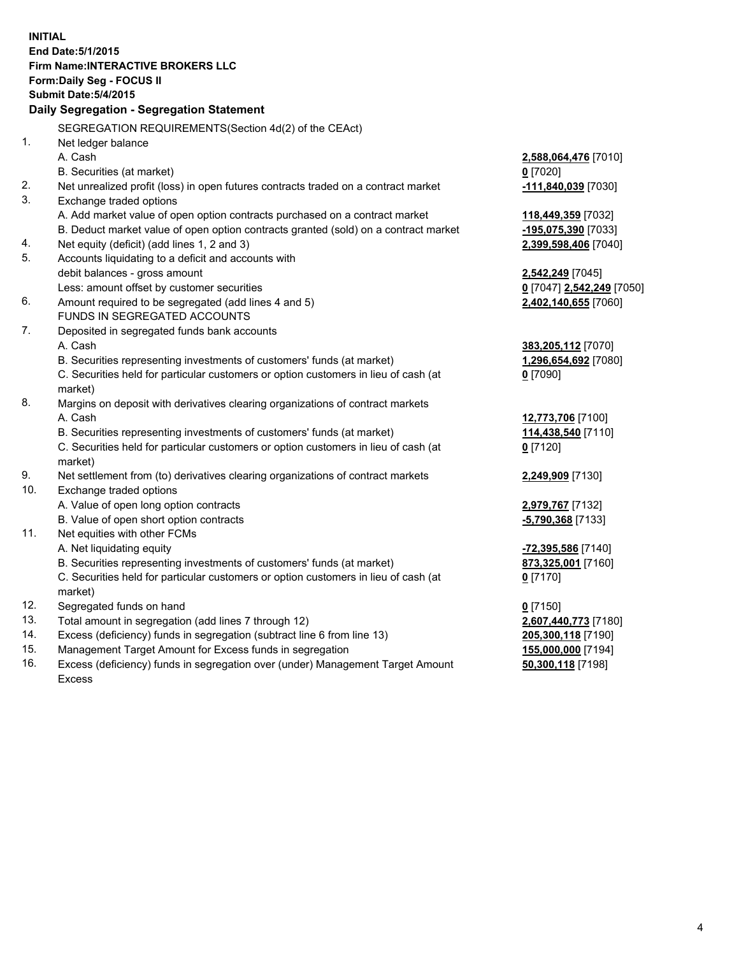**INITIAL End Date:5/1/2015 Firm Name:INTERACTIVE BROKERS LLC Form:Daily Seg - FOCUS II Submit Date:5/4/2015 Daily Segregation - Segregation Statement** SEGREGATION REQUIREMENTS(Section 4d(2) of the CEAct) 1. Net ledger balance A. Cash **2,588,064,476** [7010] B. Securities (at market) **0** [7020] 2. Net unrealized profit (loss) in open futures contracts traded on a contract market **-111,840,039** [7030] 3. Exchange traded options A. Add market value of open option contracts purchased on a contract market **118,449,359** [7032] B. Deduct market value of open option contracts granted (sold) on a contract market **-195,075,390** [7033] 4. Net equity (deficit) (add lines 1, 2 and 3) **2,399,598,406** [7040] 5. Accounts liquidating to a deficit and accounts with debit balances - gross amount **2,542,249** [7045] Less: amount offset by customer securities **0** [7047] **2,542,249** [7050] 6. Amount required to be segregated (add lines 4 and 5) **2,402,140,655** [7060] FUNDS IN SEGREGATED ACCOUNTS 7. Deposited in segregated funds bank accounts A. Cash **383,205,112** [7070] B. Securities representing investments of customers' funds (at market) **1,296,654,692** [7080] C. Securities held for particular customers or option customers in lieu of cash (at market) **0** [7090] 8. Margins on deposit with derivatives clearing organizations of contract markets A. Cash **12,773,706** [7100] B. Securities representing investments of customers' funds (at market) **114,438,540** [7110] C. Securities held for particular customers or option customers in lieu of cash (at market) **0** [7120] 9. Net settlement from (to) derivatives clearing organizations of contract markets **2,249,909** [7130] 10. Exchange traded options A. Value of open long option contracts **2,979,767** [7132] B. Value of open short option contracts **-5,790,368** [7133] 11. Net equities with other FCMs A. Net liquidating equity **-72,395,586** [7140] B. Securities representing investments of customers' funds (at market) **873,325,001** [7160] C. Securities held for particular customers or option customers in lieu of cash (at market) **0** [7170] 12. Segregated funds on hand **0** [7150] 13. Total amount in segregation (add lines 7 through 12) **2,607,440,773** [7180] 14. Excess (deficiency) funds in segregation (subtract line 6 from line 13) **205,300,118** [7190] 15. Management Target Amount for Excess funds in segregation **155,000,000** [7194]

16. Excess (deficiency) funds in segregation over (under) Management Target Amount Excess

**50,300,118** [7198]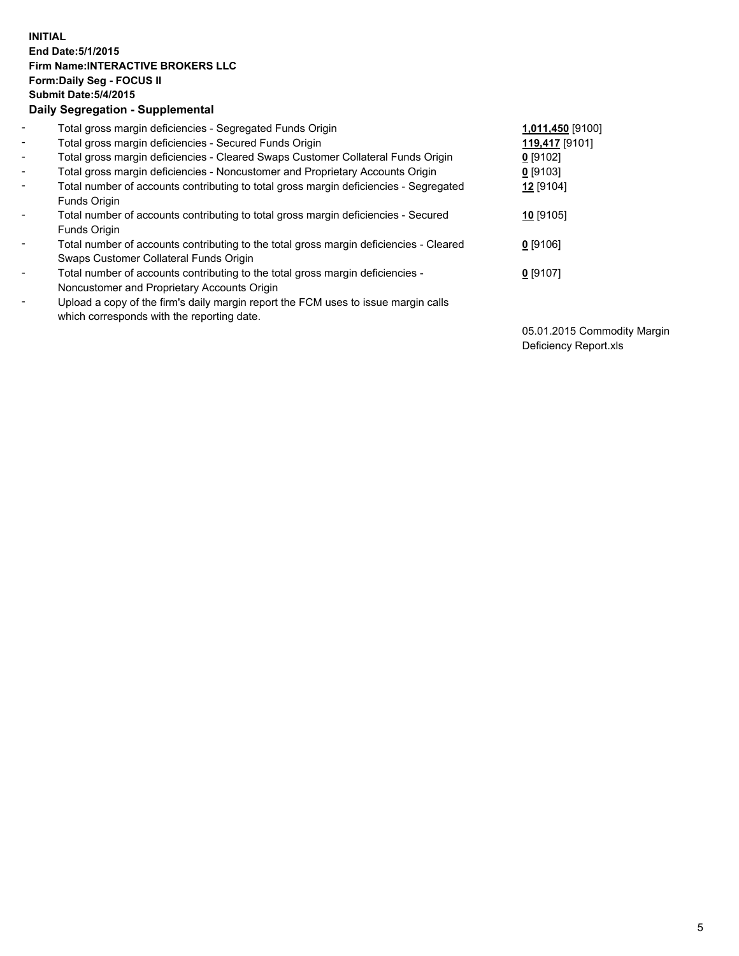## **INITIAL End Date:5/1/2015 Firm Name:INTERACTIVE BROKERS LLC Form:Daily Seg - FOCUS II Submit Date:5/4/2015 Daily Segregation - Supplemental**

| $\blacksquare$ | Total gross margin deficiencies - Segregated Funds Origin                              | 1,011,450 [9100] |  |
|----------------|----------------------------------------------------------------------------------------|------------------|--|
| $\sim$         | Total gross margin deficiencies - Secured Funds Origin                                 | 119,417 [9101]   |  |
| $\blacksquare$ | Total gross margin deficiencies - Cleared Swaps Customer Collateral Funds Origin       | $0$ [9102]       |  |
| $\blacksquare$ | Total gross margin deficiencies - Noncustomer and Proprietary Accounts Origin          | 0 [9103]         |  |
| $\blacksquare$ | Total number of accounts contributing to total gross margin deficiencies - Segregated  | 12 [9104]        |  |
|                | Funds Origin                                                                           |                  |  |
| $\blacksquare$ | Total number of accounts contributing to total gross margin deficiencies - Secured     | $10$ [9105]      |  |
|                | Funds Origin                                                                           |                  |  |
| ۰              | Total number of accounts contributing to the total gross margin deficiencies - Cleared | $0$ [9106]       |  |
|                | Swaps Customer Collateral Funds Origin                                                 |                  |  |
| $\blacksquare$ | Total number of accounts contributing to the total gross margin deficiencies -         | 0 [9107]         |  |
|                | Noncustomer and Proprietary Accounts Origin                                            |                  |  |
| $\blacksquare$ | Upload a copy of the firm's daily margin report the FCM uses to issue margin calls     |                  |  |
|                | which corresponds with the reporting date.                                             |                  |  |

05.01.2015 Commodity Margin Deficiency Report.xls